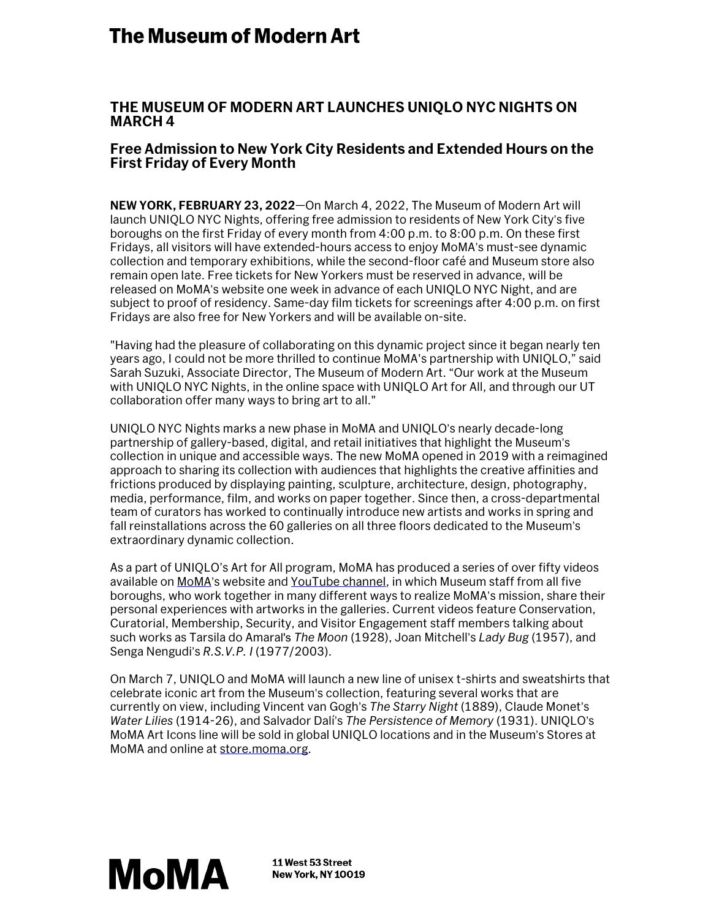# **The Museum of Modern Art**

## **THE MUSEUM OF MODERN ART LAUNCHES UNIQLO NYC NIGHTS ON MARCH 4**

## **Free Admission to New York City Residents and Extended Hours on the First Friday of Every Month**

**NEW YORK, FEBRUARY 23, 2022**—On March 4, 2022, The Museum of Modern Art will launch UNIQLO NYC Nights, offering free admission to residents of New York City's five boroughs on the first Friday of every month from 4:00 p.m. to 8:00 p.m. On these first Fridays, all visitors will have extended-hours access to enjoy MoMA's must-see dynamic collection and temporary exhibitions, while the second-floor café and Museum store also remain open late. Free tickets for New Yorkers must be reserved in advance, will be released on MoMA's website one week in advance of each UNIQLO NYC Night, and are subject to proof of residency. Same-day film tickets for screenings after 4:00 p.m. on first Fridays are also free for New Yorkers and will be available on-site.

"Having had the pleasure of collaborating on this dynamic project since it began nearly ten years ago, I could not be more thrilled to continue MoMA's partnership with UNIQLO," said Sarah Suzuki, Associate Director, The Museum of Modern Art. "Our work at the Museum with UNIQLO NYC Nights, in the online space with UNIQLO Art for All, and through our UT collaboration offer many ways to bring art to all."

UNIQLO NYC Nights marks a new phase in MoMA and UNIQLO's nearly decade-long partnership of gallery-based, digital, and retail initiatives that highlight the Museum's collection in unique and accessible ways. The new MoMA opened in 2019 with a reimagined approach to sharing its collection with audiences that highlights the creative affinities and frictions produced by displaying painting, sculpture, architecture, design, photography, media, performance, film, and works on paper together. Since then, a cross-departmental team of curators has worked to continually introduce new artists and works in spring and fall reinstallations across the 60 galleries on all three floors dedicated to the Museum's extraordinary dynamic collection.

As a part of UNIQLO's Art for All program, MoMA has produced a series of over fifty videos available on MoMA'[s website](https://www.moma.org/magazine/tags/194) and [YouTube channel,](https://www.youtube.com/playlist?list=PLfYVzk0sNiGHzUUdFpqNEE1zAxCsMjlaB) in which Museum staff from all five boroughs, who work together in many different ways to realize MoMA's mission, share their personal experiences with artworks in the galleries. Current videos feature Conservation, Curatorial, Membership, Security, and Visitor Engagement staff members talking about such works as Tarsila do Amaral's *The Moon* (1928), Joan Mitchell's *Lady Bug* (1957), and Senga Nengudi's *R.S.V.P. I* (1977/2003).

On March 7, UNIQLO and MoMA will launch a new line of unisex t-shirts and sweatshirts that celebrate iconic art from the Museum's collection, featuring several works that are currently on view, including Vincent van Gogh's *The Starry Night* (1889), Claude Monet's *Water Lilies* (1914-26), and Salvador Dalí's *The Persistence of Memory* (1931). UNIQLO's MoMA Art Icons line will be sold in global UNIQLO locations and in the Museum's Stores at MoMA and online at [store.moma.org.](http://store.moma.org/)



11 West 53 Street **New York, NY 10019**